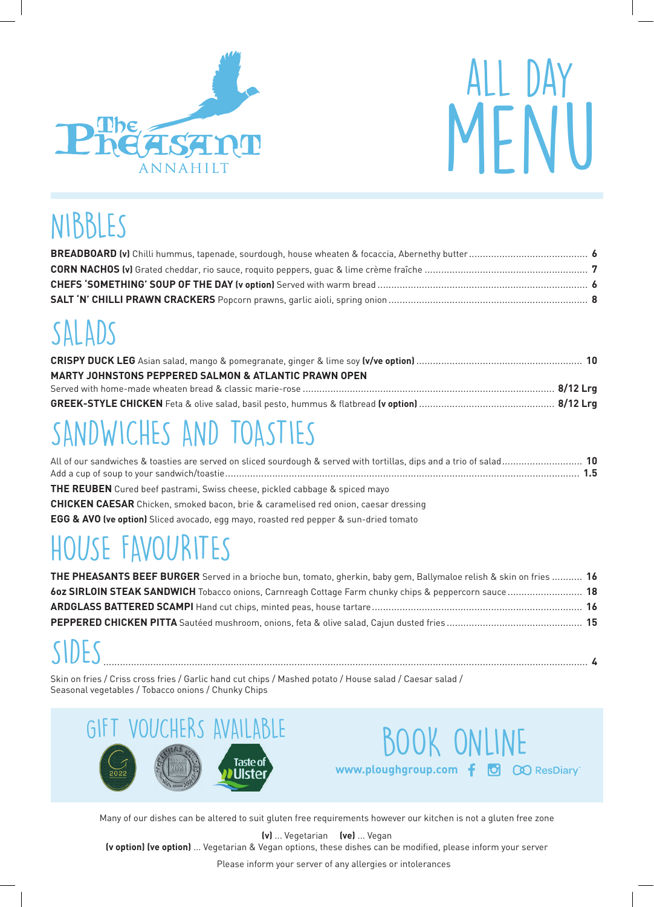



## NIBBLES

# SALADS

| <b>MARTY JOHNSTONS PEPPERED SALMON &amp; ATLANTIC PRAWN OPEN</b> |  |
|------------------------------------------------------------------|--|
|                                                                  |  |
|                                                                  |  |

# SANDWICHES AND TOASTIES

| All of our sandwiches & toasties are served on sliced sourdough & served with tortillas, dips and a trio of salad 10 |  |
|----------------------------------------------------------------------------------------------------------------------|--|
|                                                                                                                      |  |

**THE REUBEN** Cured beef pastrami, Swiss cheese, pickled cabbage & spiced mayo

**CHICKEN CAESAR** Chicken, smoked bacon, brie & caramelised red onion, caesar dressing

**EGG & AVO (ve option)** Sliced avocado, egg mayo, roasted red pepper & sun-dried tomato

# HOUSE FAVOURITES

| THE PHEASANTS BEEF BURGER Served in a brioche bun, tomato, gherkin, baby gem, Ballymaloe relish & skin on fries  16 |
|---------------------------------------------------------------------------------------------------------------------|
| 60z SIRLOIN STEAK SANDWICH Tobacco onions, Carnreagh Cottage Farm chunky chips & peppercorn sauce 18                |
|                                                                                                                     |
|                                                                                                                     |
|                                                                                                                     |

SIDES............................................................................................................................................................................... **<sup>4</sup>**

Skin on fries / Criss cross fries / Garlic hand cut chips / Mashed potato / House salad / Caesar salad / Seasonal vegetables / Tobacco onions / Chunky Chips





Many of our dishes can be altered to suit gluten free requirements however our kitchen is not a gluten free zone

**(v)** ... Vegetarian **(ve)** ... Vegan **(v option) (ve option)** ... Vegetarian & Vegan options, these dishes can be modified, please inform your server

Please inform your server of any allergies or intolerances